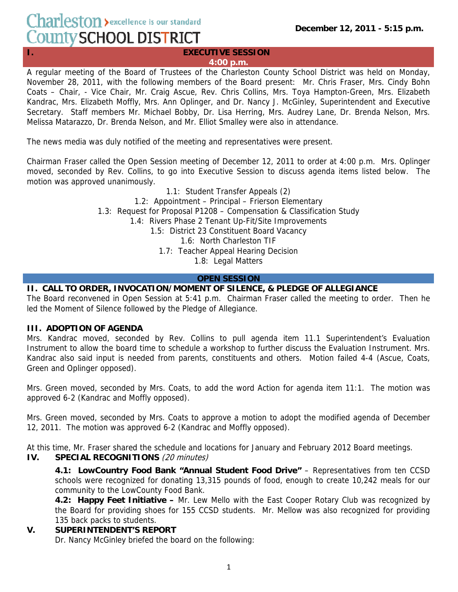# Charleston > excellence is our standard County SCHOOL DISTRICT

#### **I.** EXECUTIVE SESSION **4:00 p.m.**

A regular meeting of the Board of Trustees of the Charleston County School District was held on Monday, November 28, 2011, with the following members of the Board present: Mr. Chris Fraser, Mrs. Cindy Bohn Coats – Chair, - Vice Chair, Mr. Craig Ascue, Rev. Chris Collins, Mrs. Toya Hampton-Green, Mrs. Elizabeth Kandrac, Mrs. Elizabeth Moffly, Mrs. Ann Oplinger, and Dr. Nancy J. McGinley, Superintendent and Executive Secretary. Staff members Mr. Michael Bobby, Dr. Lisa Herring, Mrs. Audrey Lane, Dr. Brenda Nelson, Mrs. Melissa Matarazzo, Dr. Brenda Nelson, and Mr. Elliot Smalley were also in attendance.

The news media was duly notified of the meeting and representatives were present.

Chairman Fraser called the Open Session meeting of December 12, 2011 to order at 4:00 p.m. Mrs. Oplinger moved, seconded by Rev. Collins, to go into Executive Session to discuss agenda items listed below. The motion was approved unanimously.

> 1.1: Student Transfer Appeals (2) 1.2: Appointment – Principal – Frierson Elementary 1.3: Request for Proposal P1208 – Compensation & Classification Study 1.4: Rivers Phase 2 Tenant Up-Fit/Site Improvements 1.5: District 23 Constituent Board Vacancy 1.6: North Charleston TIF 1.7: Teacher Appeal Hearing Decision 1.8: Legal Matters

# **OPEN SESSION**

# **II. CALL TO ORDER, INVOCATION/MOMENT OF SILENCE, & PLEDGE OF ALLEGIANCE**

The Board reconvened in Open Session at 5:41 p.m. Chairman Fraser called the meeting to order. Then he led the Moment of Silence followed by the Pledge of Allegiance.

# **III. ADOPTION OF AGENDA**

Mrs. Kandrac moved, seconded by Rev. Collins to pull agenda item 11.1 Superintendent's Evaluation Instrument to allow the board time to schedule a workshop to further discuss the Evaluation Instrument. Mrs. Kandrac also said input is needed from parents, constituents and others. Motion failed 4-4 (Ascue, Coats, Green and Oplinger opposed).

Mrs. Green moved, seconded by Mrs. Coats, to add the word Action for agenda item 11:1. The motion was approved 6-2 (Kandrac and Moffly opposed).

Mrs. Green moved, seconded by Mrs. Coats to approve a motion to adopt the modified agenda of December 12, 2011. The motion was approved 6-2 (Kandrac and Moffly opposed).

At this time, Mr. Fraser shared the schedule and locations for January and February 2012 Board meetings.

# **IV. SPECIAL RECOGNITIONS** (20 minutes)

**4.1: LowCountry Food Bank "Annual Student Food Drive"** – Representatives from ten CCSD schools were recognized for donating 13,315 pounds of food, enough to create 10,242 meals for our community to the LowCounty Food Bank.

**4.2: Happy Feet Initiative –** Mr. Lew Mello with the East Cooper Rotary Club was recognized by the Board for providing shoes for 155 CCSD students. Mr. Mellow was also recognized for providing 135 back packs to students.

# **V. SUPERINTENDENT'S REPORT**

Dr. Nancy McGinley briefed the board on the following: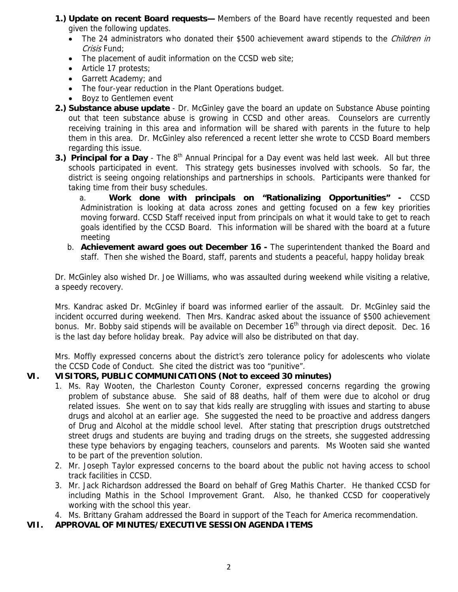- **1.) Update on recent Board requests—** Members of the Board have recently requested and been given the following updates.
	- The 24 administrators who donated their \$500 achievement award stipends to the *Children in* Crisis Fund:
	- The placement of audit information on the CCSD web site;
	- Article 17 protests;
	- Garrett Academy; and
	- The four-year reduction in the Plant Operations budget.
	- Boyz to Gentlemen event
- **2.) Substance abuse update** Dr. McGinley gave the board an update on Substance Abuse pointing out that teen substance abuse is growing in CCSD and other areas. Counselors are currently receiving training in this area and information will be shared with parents in the future to help them in this area. Dr. McGinley also referenced a recent letter she wrote to CCSD Board members regarding this issue.
- **3.) Principal for a Day** The 8<sup>th</sup> Annual Principal for a Day event was held last week. All but three schools participated in event. This strategy gets businesses involved with schools. So far, the district is seeing ongoing relationships and partnerships in schools. Participants were thanked for taking time from their busy schedules.

a. **Work done with principals on "Rationalizing Opportunities" -** CCSD Administration is looking at data across zones and getting focused on a few key priorities moving forward. CCSD Staff received input from principals on what it would take to get to reach goals identified by the CCSD Board. This information will be shared with the board at a future meeting

b. **Achievement award goes out December 16 -** The superintendent thanked the Board and staff. Then she wished the Board, staff, parents and students a peaceful, happy holiday break

Dr. McGinley also wished Dr. Joe Williams, who was assaulted during weekend while visiting a relative, a speedy recovery.

Mrs. Kandrac asked Dr. McGinley if board was informed earlier of the assault. Dr. McGinley said the incident occurred during weekend. Then Mrs. Kandrac asked about the issuance of \$500 achievement bonus. Mr. Bobby said stipends will be available on December 16<sup>th</sup> through via direct deposit. Dec. 16 is the last day before holiday break. Pay advice will also be distributed on that day.

Mrs. Moffly expressed concerns about the district's zero tolerance policy for adolescents who violate the CCSD Code of Conduct. She cited the district was too "punitive".

# **VI. VISITORS, PUBLIC COMMUNICATIONS (Not to exceed 30 minutes)**

- 1. Ms. Ray Wooten, the Charleston County Coroner, expressed concerns regarding the growing problem of substance abuse. She said of 88 deaths, half of them were due to alcohol or drug related issues. She went on to say that kids really are struggling with issues and starting to abuse drugs and alcohol at an earlier age. She suggested the need to be proactive and address dangers of Drug and Alcohol at the middle school level. After stating that prescription drugs outstretched street drugs and students are buying and trading drugs on the streets, she suggested addressing these type behaviors by engaging teachers, counselors and parents. Ms Wooten said she wanted to be part of the prevention solution.
- 2. Mr. Joseph Taylor expressed concerns to the board about the public not having access to school track facilities in CCSD.
- 3. Mr. Jack Richardson addressed the Board on behalf of Greg Mathis Charter. He thanked CCSD for including Mathis in the School Improvement Grant. Also, he thanked CCSD for cooperatively working with the school this year.
- 4. Ms. Brittany Graham addressed the Board in support of the Teach for America recommendation.
- **VII. APPROVAL OF MINUTES/EXECUTIVE SESSION AGENDA ITEMS**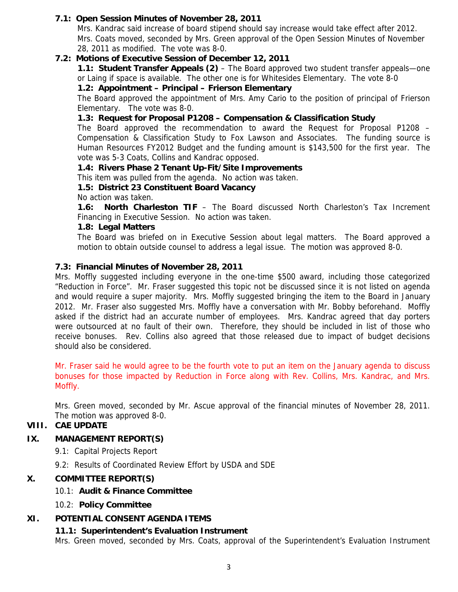# **7.1: Open Session Minutes of November 28, 2011**

Mrs. Kandrac said increase of board stipend should say increase would take effect after 2012. Mrs. Coats moved, seconded by Mrs. Green approval of the Open Session Minutes of November 28, 2011 as modified. The vote was 8-0.

# **7.2: Motions of Executive Session of December 12, 2011**

**1.1: Student Transfer Appeals (2)** – The Board approved two student transfer appeals—one or Laing if space is available. The other one is for Whitesides Elementary. The vote 8-0

#### **1.2: Appointment – Principal – Frierson Elementary**

The Board approved the appointment of Mrs. Amy Cario to the position of principal of Frierson Elementary. The vote was 8-0.

# **1.3: Request for Proposal P1208 – Compensation & Classification Study**

The Board approved the recommendation to award the Request for Proposal P1208 – Compensation & Classification Study to Fox Lawson and Associates. The funding source is Human Resources FY2012 Budget and the funding amount is \$143,500 for the first year. The vote was 5-3 Coats, Collins and Kandrac opposed.

#### **1.4: Rivers Phase 2 Tenant Up-Fit/Site Improvements**

This item was pulled from the agenda. No action was taken.

#### **1.5: District 23 Constituent Board Vacancy**

No action was taken.

**1.6: North Charleston TIF** – The Board discussed North Charleston's Tax Increment Financing in Executive Session. No action was taken.

#### **1.8: Legal Matters**

The Board was briefed on in Executive Session about legal matters. The Board approved a motion to obtain outside counsel to address a legal issue. The motion was approved 8-0.

#### **7.3: Financial Minutes of November 28, 2011**

Mrs. Moffly suggested including everyone in the one-time \$500 award, including those categorized "Reduction in Force". Mr. Fraser suggested this topic not be discussed since it is not listed on agenda and would require a super majority. Mrs. Moffly suggested bringing the item to the Board in January 2012. Mr. Fraser also suggested Mrs. Moffly have a conversation with Mr. Bobby beforehand. Moffly asked if the district had an accurate number of employees. Mrs. Kandrac agreed that day porters were outsourced at no fault of their own. Therefore, they should be included in list of those who receive bonuses. Rev. Collins also agreed that those released due to impact of budget decisions should also be considered.

Mr. Fraser said he would agree to be the fourth vote to put an item on the January agenda to discuss bonuses for those impacted by Reduction in Force along with Rev. Collins, Mrs. Kandrac, and Mrs. Moffly.

Mrs. Green moved, seconded by Mr. Ascue approval of the financial minutes of November 28, 2011. The motion was approved 8-0.

## **VIII. CAE UPDATE**

# **IX. MANAGEMENT REPORT(S)**

- 9.1: Capital Projects Report
- 9.2: Results of Coordinated Review Effort by USDA and SDE

# **X. COMMITTEE REPORT(S)**

- 10.1: **Audit & Finance Committee**
- 10.2: **Policy Committee**

# **XI. POTENTIAL CONSENT AGENDA ITEMS**

# **11.1: Superintendent's Evaluation Instrument**

Mrs. Green moved, seconded by Mrs. Coats, approval of the Superintendent's Evaluation Instrument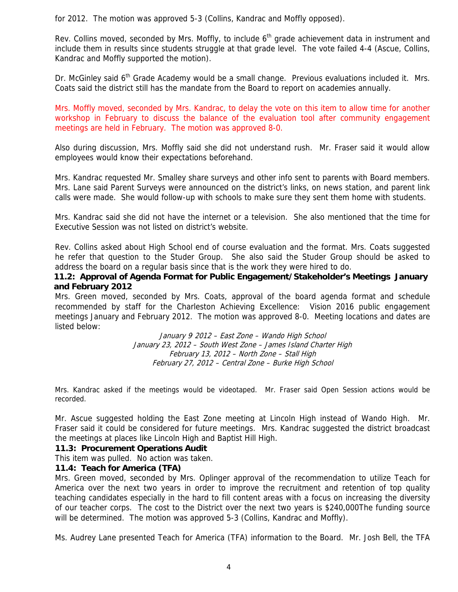for 2012. The motion was approved 5-3 (Collins, Kandrac and Moffly opposed).

Rev. Collins moved, seconded by Mrs. Moffly, to include  $6<sup>th</sup>$  grade achievement data in instrument and include them in results since students struggle at that grade level. The vote failed 4-4 (Ascue, Collins, Kandrac and Moffly supported the motion).

Dr. McGinley said 6<sup>th</sup> Grade Academy would be a small change. Previous evaluations included it. Mrs. Coats said the district still has the mandate from the Board to report on academies annually.

Mrs. Moffly moved, seconded by Mrs. Kandrac, to delay the vote on this item to allow time for another workshop in February to discuss the balance of the evaluation tool after community engagement meetings are held in February. The motion was approved 8-0.

Also during discussion, Mrs. Moffly said she did not understand rush. Mr. Fraser said it would allow employees would know their expectations beforehand.

Mrs. Kandrac requested Mr. Smalley share surveys and other info sent to parents with Board members. Mrs. Lane said Parent Surveys were announced on the district's links, on news station, and parent link calls were made. She would follow-up with schools to make sure they sent them home with students.

Mrs. Kandrac said she did not have the internet or a television. She also mentioned that the time for Executive Session was not listed on district's website.

Rev. Collins asked about High School end of course evaluation and the format. Mrs. Coats suggested he refer that question to the Studer Group. She also said the Studer Group should be asked to address the board on a regular basis since that is the work they were hired to do.

# **11.2: Approval of Agenda Format for Public Engagement/Stakeholder's Meetings January and February 2012**

Mrs. Green moved, seconded by Mrs. Coats, approval of the board agenda format and schedule recommended by staff for the Charleston Achieving Excellence: Vision 2016 public engagement meetings January and February 2012. The motion was approved 8-0. Meeting locations and dates are listed below:

> January 9, 2012 – East Zone – Wando High School January 23, 2012 – South West Zone – James Island Charter High February 13, 2012 – North Zone – Stall High February 27, 2012 – Central Zone – Burke High School

Mrs. Kandrac asked if the meetings would be videotaped. Mr. Fraser said Open Session actions would be recorded.

Mr. Ascue suggested holding the East Zone meeting at Lincoln High instead of Wando High. Mr. Fraser said it could be considered for future meetings. Mrs. Kandrac suggested the district broadcast the meetings at places like Lincoln High and Baptist Hill High.

# **11.3: Procurement Operations Audit**

This item was pulled. No action was taken.

#### **11.4: Teach for America (TFA)**

Mrs. Green moved, seconded by Mrs. Oplinger approval of the recommendation to utilize Teach for America over the next two years in order to improve the recruitment and retention of top quality teaching candidates especially in the hard to fill content areas with a focus on increasing the diversity of our teacher corps. The cost to the District over the next two years is \$240,000The funding source will be determined. The motion was approved 5-3 (Collins, Kandrac and Moffly).

Ms. Audrey Lane presented Teach for America (TFA) information to the Board. Mr. Josh Bell, the TFA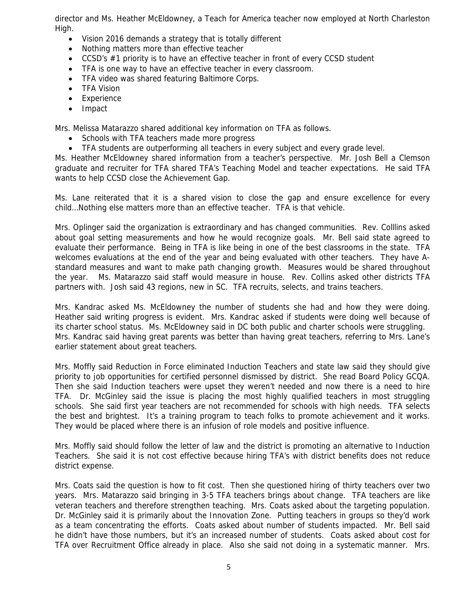director and Ms. Heather McEldowney, a Teach for America teacher now employed at North Charleston High.

- Vision 2016 demands a strategy that is totally different
- Nothing matters more than effective teacher
- CCSD's #1 priority is to have an effective teacher in front of every CCSD student
- TFA is one way to have an effective teacher in every classroom.
- TFA video was shared featuring Baltimore Corps.
- TFA Vision
- Experience
- Impact

Mrs. Melissa Matarazzo shared additional key information on TFA as follows.

- Schools with TFA teachers made more progress
- TFA students are outperforming all teachers in every subject and every grade level.

Ms. Heather McEldowney shared information from a teacher's perspective. Mr. Josh Bell a Clemson graduate and recruiter for TFA shared TFA's Teaching Model and teacher expectations. He said TFA wants to help CCSD close the Achievement Gap.

Ms. Lane reiterated that it is a shared vision to close the gap and ensure excellence for every child…Nothing else matters more than an effective teacher. TFA is that vehicle.

Mrs. Oplinger said the organization is extraordinary and has changed communities. Rev. Colllins asked about goal setting measurements and how he would recognize goals. Mr. Bell said state agreed to evaluate their performance. Being in TFA is like being in one of the best classrooms in the state. TFA welcomes evaluations at the end of the year and being evaluated with other teachers. They have Astandard measures and want to make path changing growth. Measures would be shared throughout the year. Ms. Matarazzo said staff would measure in house. Rev. Collins asked other districts TFA partners with. Josh said 43 regions, new in SC. TFA recruits, selects, and trains teachers.

Mrs. Kandrac asked Ms. McEldowney the number of students she had and how they were doing. Heather said writing progress is evident. Mrs. Kandrac asked if students were doing well because of its charter school status. Ms. McEldowney said in DC both public and charter schools were struggling. Mrs. Kandrac said having great parents was better than having great teachers, referring to Mrs. Lane's earlier statement about great teachers.

Mrs. Moffly said Reduction in Force eliminated Induction Teachers and state law said they should give priority to job opportunities for certified personnel dismissed by district. She read Board Policy GCQA. Then she said Induction teachers were upset they weren't needed and now there is a need to hire TFA. Dr. McGinley said the issue is placing the most highly qualified teachers in most struggling schools. She said first year teachers are not recommended for schools with high needs. TFA selects the best and brightest. It's a training program to teach folks to promote achievement and it works. They would be placed where there is an infusion of role models and positive influence.

Mrs. Moffly said should follow the letter of law and the district is promoting an alternative to Induction Teachers. She said it is not cost effective because hiring TFA's with district benefits does not reduce district expense.

Mrs. Coats said the question is how to fit cost. Then she questioned hiring of thirty teachers over two years. Mrs. Matarazzo said bringing in 3-5 TFA teachers brings about change. TFA teachers are like veteran teachers and therefore strengthen teaching. Mrs. Coats asked about the targeting population. Dr. McGinley said it is primarily about the Innovation Zone. Putting teachers in groups so they'd work as a team concentrating the efforts. Coats asked about number of students impacted. Mr. Bell said he didn't have those numbers, but it's an increased number of students. Coats asked about cost for TFA over Recruitment Office already in place. Also she said not doing in a systematic manner. Mrs.